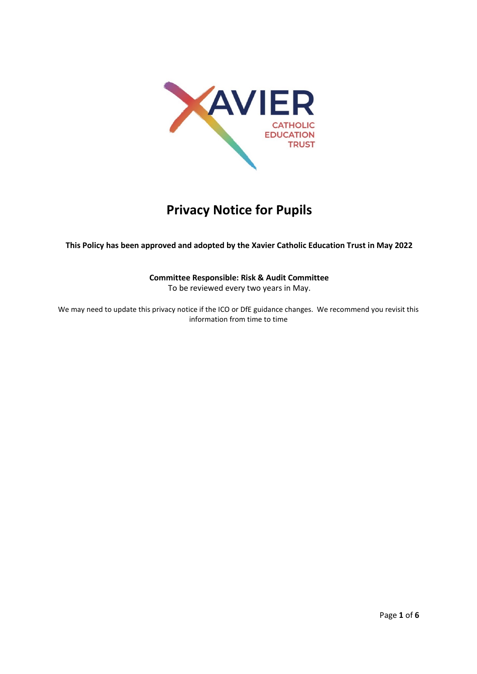

# **Privacy Notice for Pupils**

**This Policy has been approved and adopted by the Xavier Catholic Education Trust in May 2022**

# **Committee Responsible: Risk & Audit Committee**

To be reviewed every two years in May.

We may need to update this privacy notice if the ICO or DfE guidance changes. We recommend you revisit this information from time to time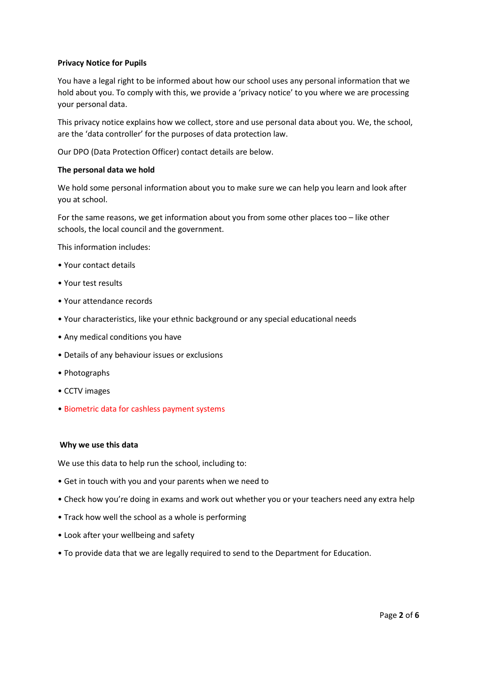## **Privacy Notice for Pupils**

You have a legal right to be informed about how our school uses any personal information that we hold about you. To comply with this, we provide a 'privacy notice' to you where we are processing your personal data.

This privacy notice explains how we collect, store and use personal data about you. We, the school, are the 'data controller' for the purposes of data protection law.

Our DPO (Data Protection Officer) contact details are below.

#### **The personal data we hold**

We hold some personal information about you to make sure we can help you learn and look after you at school.

For the same reasons, we get information about you from some other places too – like other schools, the local council and the government.

This information includes:

- Your contact details
- Your test results
- Your attendance records
- Your characteristics, like your ethnic background or any special educational needs
- Any medical conditions you have
- Details of any behaviour issues or exclusions
- Photographs
- CCTV images
- Biometric data for cashless payment systems

#### **Why we use this data**

We use this data to help run the school, including to:

- Get in touch with you and your parents when we need to
- Check how you're doing in exams and work out whether you or your teachers need any extra help
- Track how well the school as a whole is performing
- Look after your wellbeing and safety
- To provide data that we are legally required to send to the Department for Education.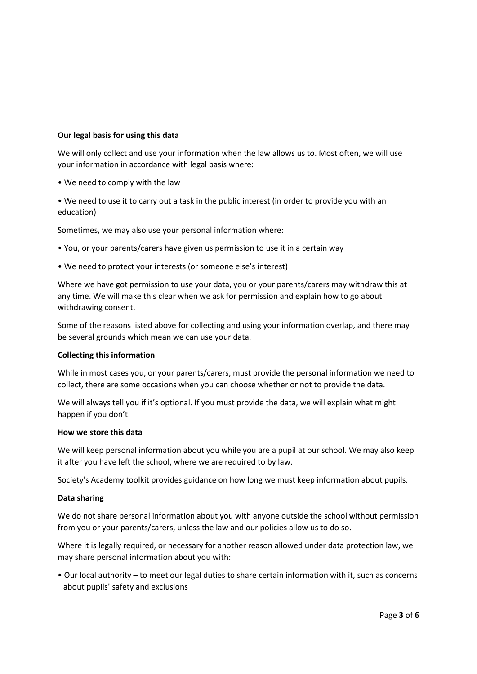## **Our legal basis for using this data**

We will only collect and use your information when the law allows us to. Most often, we will use your information in accordance with legal basis where:

- We need to comply with the law
- We need to use it to carry out a task in the public interest (in order to provide you with an education)

Sometimes, we may also use your personal information where:

- You, or your parents/carers have given us permission to use it in a certain way
- We need to protect your interests (or someone else's interest)

Where we have got permission to use your data, you or your parents/carers may withdraw this at any time. We will make this clear when we ask for permission and explain how to go about withdrawing consent.

Some of the reasons listed above for collecting and using your information overlap, and there may be several grounds which mean we can use your data.

#### **Collecting this information**

While in most cases you, or your parents/carers, must provide the personal information we need to collect, there are some occasions when you can choose whether or not to provide the data.

We will always tell you if it's optional. If you must provide the data, we will explain what might happen if you don't.

#### **How we store this data**

We will keep personal information about you while you are a pupil at our school. We may also keep it after you have left the school, where we are required to by law.

Society's Academy toolkit provides guidance on how long we must keep information about pupils.

#### **Data sharing**

We do not share personal information about you with anyone outside the school without permission from you or your parents/carers, unless the law and our policies allow us to do so.

Where it is legally required, or necessary for another reason allowed under data protection law, we may share personal information about you with:

• Our local authority – to meet our legal duties to share certain information with it, such as concerns about pupils' safety and exclusions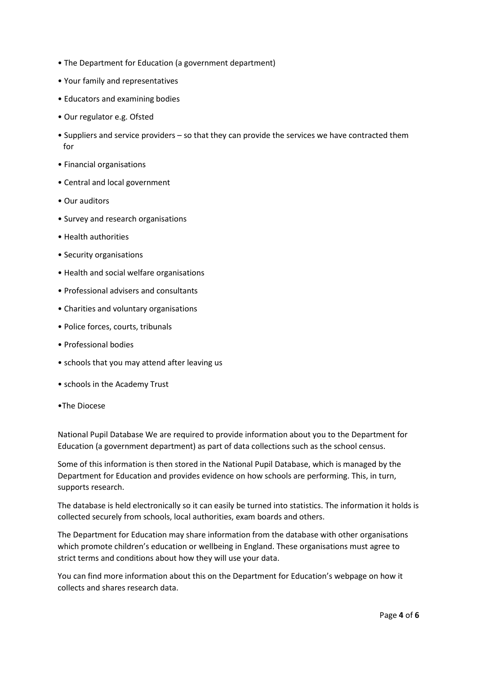- The Department for Education (a government department)
- Your family and representatives
- Educators and examining bodies
- Our regulator e.g. Ofsted
- Suppliers and service providers so that they can provide the services we have contracted them for
- Financial organisations
- Central and local government
- Our auditors
- Survey and research organisations
- Health authorities
- Security organisations
- Health and social welfare organisations
- Professional advisers and consultants
- Charities and voluntary organisations
- Police forces, courts, tribunals
- Professional bodies
- schools that you may attend after leaving us
- schools in the Academy Trust
- •The Diocese

National Pupil Database We are required to provide information about you to the Department for Education (a government department) as part of data collections such as the school census.

Some of this information is then stored in the National Pupil Database, which is managed by the Department for Education and provides evidence on how schools are performing. This, in turn, supports research.

The database is held electronically so it can easily be turned into statistics. The information it holds is collected securely from schools, local authorities, exam boards and others.

The Department for Education may share information from the database with other organisations which promote children's education or wellbeing in England. These organisations must agree to strict terms and conditions about how they will use your data.

You can find more information about this on the Department for Education's webpage on how it collects and shares research data.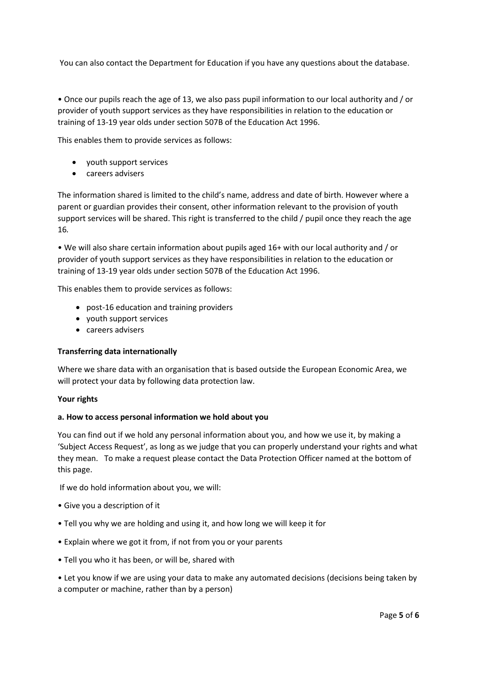You can also contact the Department for Education if you have any questions about the database.

• Once our pupils reach the age of 13, we also pass pupil information to our local authority and / or provider of youth support services as they have responsibilities in relation to the education or training of 13-19 year olds under section 507B of the Education Act 1996.

This enables them to provide services as follows:

- youth support services
- careers advisers

The information shared is limited to the child's name, address and date of birth. However where a parent or guardian provides their consent, other information relevant to the provision of youth support services will be shared. This right is transferred to the child / pupil once they reach the age 16*.*

• We will also share certain information about pupils aged 16+ with our local authority and / or provider of youth support services as they have responsibilities in relation to the education or training of 13-19 year olds under section 507B of the Education Act 1996.

This enables them to provide services as follows:

- post-16 education and training providers
- youth support services
- careers advisers

## **Transferring data internationally**

Where we share data with an organisation that is based outside the European Economic Area, we will protect your data by following data protection law.

## **Your rights**

## **a. How to access personal information we hold about you**

You can find out if we hold any personal information about you, and how we use it, by making a 'Subject Access Request', as long as we judge that you can properly understand your rights and what they mean. To make a request please contact the Data Protection Officer named at the bottom of this page.

If we do hold information about you, we will:

- Give you a description of it
- Tell you why we are holding and using it, and how long we will keep it for
- Explain where we got it from, if not from you or your parents
- Tell you who it has been, or will be, shared with

• Let you know if we are using your data to make any automated decisions (decisions being taken by a computer or machine, rather than by a person)